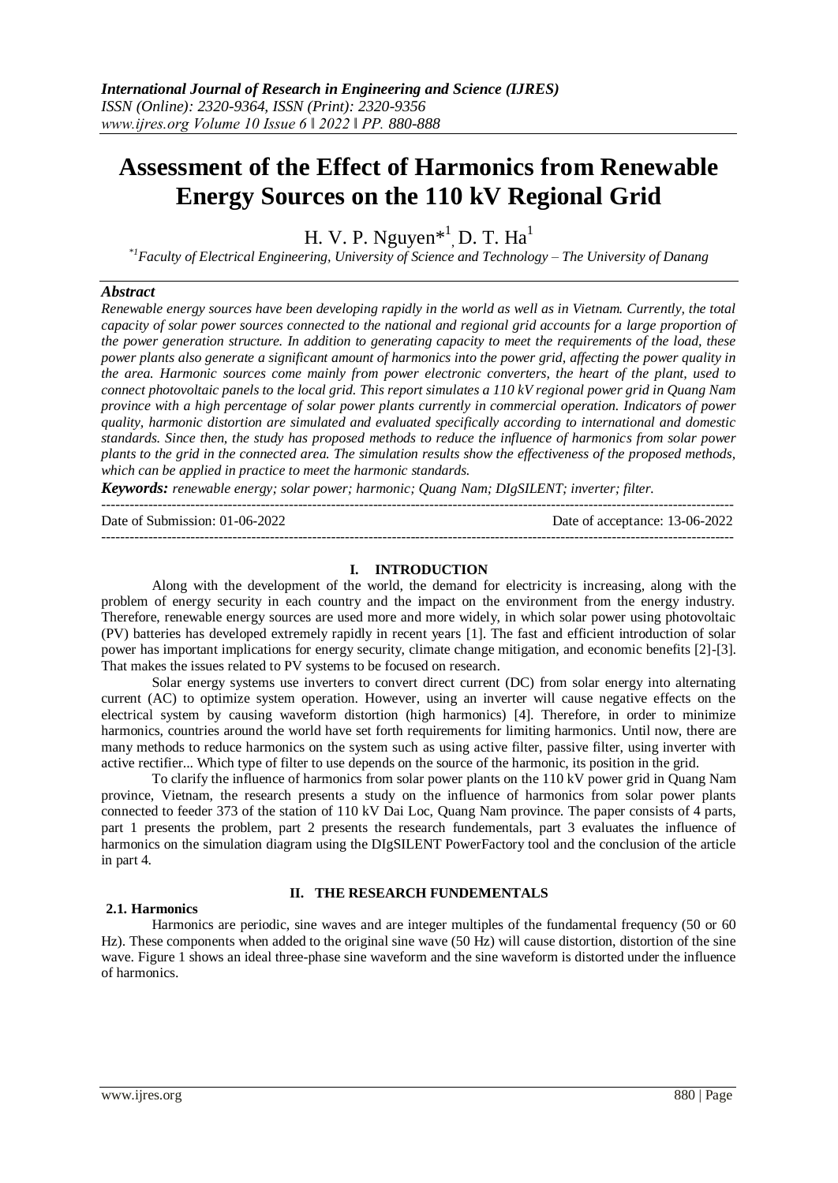# **Assessment of the Effect of Harmonics from Renewable Energy Sources on the 110 kV Regional Grid**

H. V. P. Nguyen $*^1$ , D. T. Ha<sup>1</sup>

*\*1Faculty of Electrical Engineering, University of Science and Technology – The University of Danang*

## *Abstract*

*Renewable energy sources have been developing rapidly in the world as well as in Vietnam. Currently, the total capacity of solar power sources connected to the national and regional grid accounts for a large proportion of the power generation structure. In addition to generating capacity to meet the requirements of the load, these power plants also generate a significant amount of harmonics into the power grid, affecting the power quality in the area. Harmonic sources come mainly from power electronic converters, the heart of the plant, used to connect photovoltaic panels to the local grid. This report simulates a 110 kV regional power grid in Quang Nam province with a high percentage of solar power plants currently in commercial operation. Indicators of power quality, harmonic distortion are simulated and evaluated specifically according to international and domestic standards. Since then, the study has proposed methods to reduce the influence of harmonics from solar power plants to the grid in the connected area. The simulation results show the effectiveness of the proposed methods, which can be applied in practice to meet the harmonic standards.*

*Keywords: renewable energy; solar power; harmonic; Quang Nam; DIgSILENT; inverter; filter.* ---------------------------------------------------------------------------------------------------------------------------------------

Date of Submission: 01-06-2022 Date of acceptance: 13-06-2022

---------------------------------------------------------------------------------------------------------------------------------------

## **I. INTRODUCTION**

Along with the development of the world, the demand for electricity is increasing, along with the problem of energy security in each country and the impact on the environment from the energy industry. Therefore, renewable energy sources are used more and more widely, in which solar power using photovoltaic (PV) batteries has developed extremely rapidly in recent years [1]. The fast and efficient introduction of solar power has important implications for energy security, climate change mitigation, and economic benefits [2]-[3]. That makes the issues related to PV systems to be focused on research.

Solar energy systems use inverters to convert direct current (DC) from solar energy into alternating current (AC) to optimize system operation. However, using an inverter will cause negative effects on the electrical system by causing waveform distortion (high harmonics) [4]. Therefore, in order to minimize harmonics, countries around the world have set forth requirements for limiting harmonics. Until now, there are many methods to reduce harmonics on the system such as using active filter, passive filter, using inverter with active rectifier... Which type of filter to use depends on the source of the harmonic, its position in the grid.

To clarify the influence of harmonics from solar power plants on the 110 kV power grid in Quang Nam province, Vietnam, the research presents a study on the influence of harmonics from solar power plants connected to feeder 373 of the station of 110 kV Dai Loc, Quang Nam province. The paper consists of 4 parts, part 1 presents the problem, part 2 presents the research fundementals, part 3 evaluates the influence of harmonics on the simulation diagram using the DIgSILENT PowerFactory tool and the conclusion of the article in part 4.

### **II. THE RESEARCH FUNDEMENTALS**

#### **2.1. Harmonics**

Harmonics are periodic, sine waves and are integer multiples of the fundamental frequency (50 or 60 Hz). These components when added to the original sine wave (50 Hz) will cause distortion, distortion of the sine wave. Figure 1 shows an ideal three-phase sine waveform and the sine waveform is distorted under the influence of harmonics.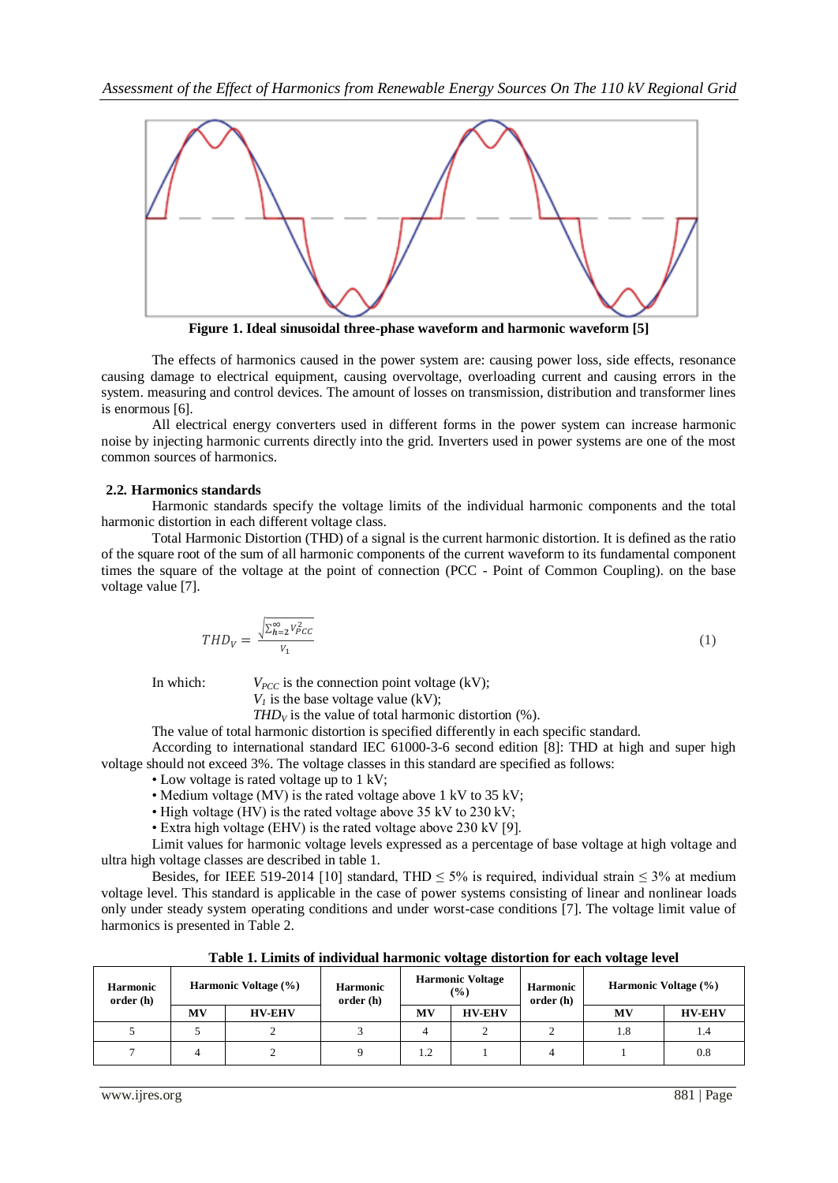

**Figure 1. Ideal sinusoidal three-phase waveform and harmonic waveform [5]**

The effects of harmonics caused in the power system are: causing power loss, side effects, resonance causing damage to electrical equipment, causing overvoltage, overloading current and causing errors in the system. measuring and control devices. The amount of losses on transmission, distribution and transformer lines is enormous [6].

All electrical energy converters used in different forms in the power system can increase harmonic noise by injecting harmonic currents directly into the grid. Inverters used in power systems are one of the most common sources of harmonics.

#### **2.2. Harmonics standards**

Harmonic standards specify the voltage limits of the individual harmonic components and the total harmonic distortion in each different voltage class.

Total Harmonic Distortion (THD) of a signal is the current harmonic distortion. It is defined as the ratio of the square root of the sum of all harmonic components of the current waveform to its fundamental component times the square of the voltage at the point of connection (PCC - Point of Common Coupling). on the base voltage value [7].

$$
THD_V = \frac{\sqrt{\sum_{h=2}^{\infty} v_{PCC}^2}}{v_1} \tag{1}
$$

In which:  $V_{PCC}$  is the connection point voltage (kV);

 $V_I$  is the base voltage value (kV);

*THD* $_V$  is the value of total harmonic distortion (%).

The value of total harmonic distortion is specified differently in each specific standard.

According to international standard IEC 61000-3-6 second edition [8]: THD at high and super high voltage should not exceed 3%. The voltage classes in this standard are specified as follows:

• Low voltage is rated voltage up to 1 kV;

- Medium voltage (MV) is the rated voltage above 1 kV to 35 kV;
- High voltage (HV) is the rated voltage above 35 kV to 230 kV;
- Extra high voltage (EHV) is the rated voltage above 230 kV [9].

Limit values for harmonic voltage levels expressed as a percentage of base voltage at high voltage and ultra high voltage classes are described in table 1.

Besides, for IEEE 519-2014 [10] standard, THD  $\leq$  5% is required, individual strain  $\leq$  3% at medium voltage level. This standard is applicable in the case of power systems consisting of linear and nonlinear loads only under steady system operating conditions and under worst-case conditions [7]. The voltage limit value of harmonics is presented in Table 2.

| <b>Harmonic</b><br>order (h) |    | Harmonic Voltage (%) | <b>Harmonic</b><br>order (h) |     | <b>Harmonic Voltage</b><br>$\frac{9}{6}$ | <b>Harmonic</b><br>order (h) | Harmonic Voltage (%) |               |
|------------------------------|----|----------------------|------------------------------|-----|------------------------------------------|------------------------------|----------------------|---------------|
|                              | MV | <b>HV-EHV</b>        |                              | MV  | <b>HV-EHV</b>                            |                              | MV                   | <b>HV-EHV</b> |
|                              |    | ∸                    |                              |     |                                          |                              | 1.8                  | 1.4           |
|                              | 4  | ∼                    |                              | 1.2 |                                          |                              |                      | 0.8           |

**Table 1. Limits of individual harmonic voltage distortion for each voltage level**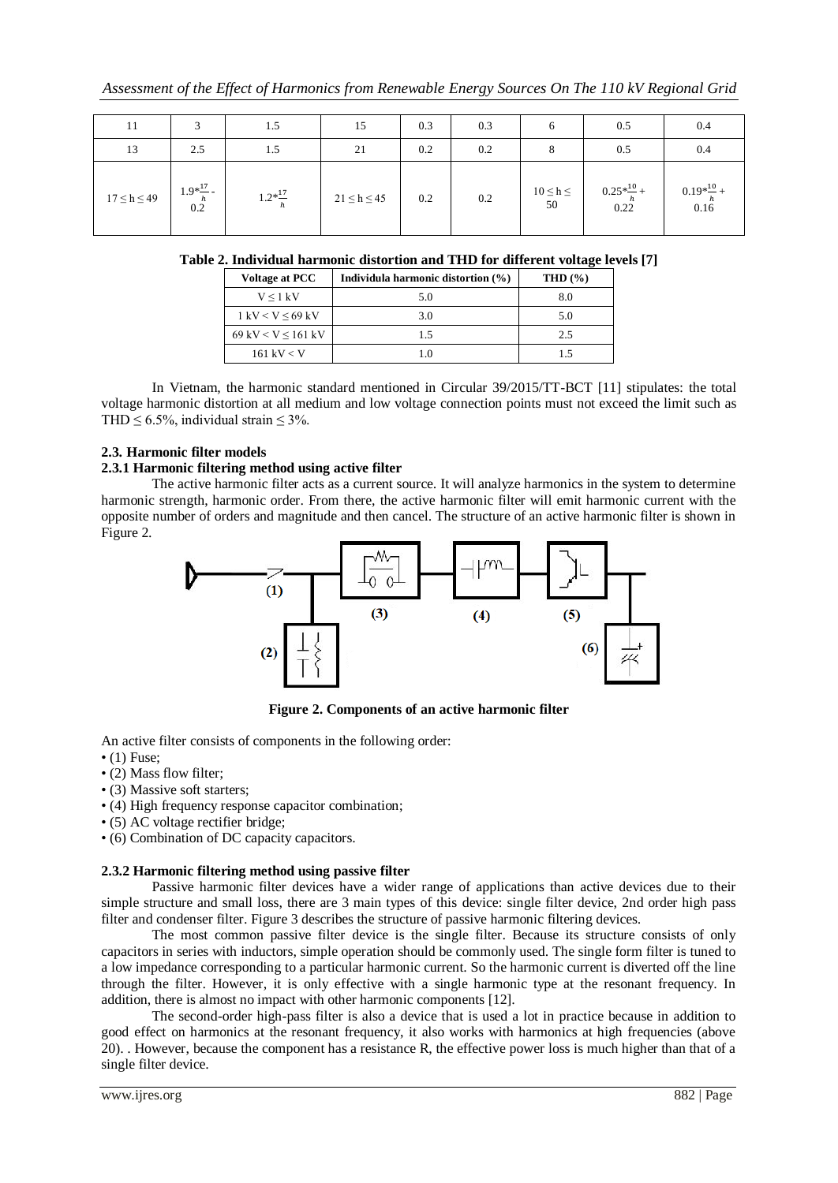| 11                |                               | 1.5                | 15                | 0.3 | 0.3 |                     | 0.5                          | 0.4                    |
|-------------------|-------------------------------|--------------------|-------------------|-----|-----|---------------------|------------------------------|------------------------|
| 13                | 2.5                           | 1.5                | 21                | 0.2 | 0.2 |                     | 0.5                          | 0.4                    |
| $17 \le h \le 49$ | $1.9*\frac{17}{h}$ -<br>  0.2 | $1.2*\frac{17}{h}$ | $21 \le h \le 45$ | 0.2 | 0.2 | $10 \leq h \leq 50$ | $0.25*\frac{10}{h}+$<br>0.22 | $0.19*^{10}$ +<br>0.16 |

**Table 2. Individual harmonic distortion and THD for different voltage levels [7]**

| Voltage at PCC                     | Individula harmonic distortion (%) | THD $(\% )$ |
|------------------------------------|------------------------------------|-------------|
| $V \leq 1$ kV                      | 5.0                                | 8.0         |
| $1 \text{ kV} < V < 69 \text{ kV}$ | 3.0                                | 5.0         |
| 69 kV < V $\leq$ 161 kV            | 15                                 | 2.5         |
| $161$ kV $<$ V                     |                                    | 15          |

In Vietnam, the harmonic standard mentioned in Circular 39/2015/TT-BCT [11] stipulates: the total voltage harmonic distortion at all medium and low voltage connection points must not exceed the limit such as THD  $\leq$  6.5%, individual strain  $\leq$  3%.

# **2.3. Harmonic filter models**

## **2.3.1 Harmonic filtering method using active filter**

The active harmonic filter acts as a current source. It will analyze harmonics in the system to determine harmonic strength, harmonic order. From there, the active harmonic filter will emit harmonic current with the opposite number of orders and magnitude and then cancel. The structure of an active harmonic filter is shown in Figure 2.



**Figure 2. Components of an active harmonic filter**

An active filter consists of components in the following order:

- $\bullet$  (1) Fuse;
- (2) Mass flow filter;
- (3) Massive soft starters;
- (4) High frequency response capacitor combination;
- (5) AC voltage rectifier bridge;
- (6) Combination of DC capacity capacitors.

## **2.3.2 Harmonic filtering method using passive filter**

Passive harmonic filter devices have a wider range of applications than active devices due to their simple structure and small loss, there are 3 main types of this device: single filter device, 2nd order high pass filter and condenser filter. Figure 3 describes the structure of passive harmonic filtering devices.

The most common passive filter device is the single filter. Because its structure consists of only capacitors in series with inductors, simple operation should be commonly used. The single form filter is tuned to a low impedance corresponding to a particular harmonic current. So the harmonic current is diverted off the line through the filter. However, it is only effective with a single harmonic type at the resonant frequency. In addition, there is almost no impact with other harmonic components [12].

The second-order high-pass filter is also a device that is used a lot in practice because in addition to good effect on harmonics at the resonant frequency, it also works with harmonics at high frequencies (above 20). . However, because the component has a resistance R, the effective power loss is much higher than that of a single filter device.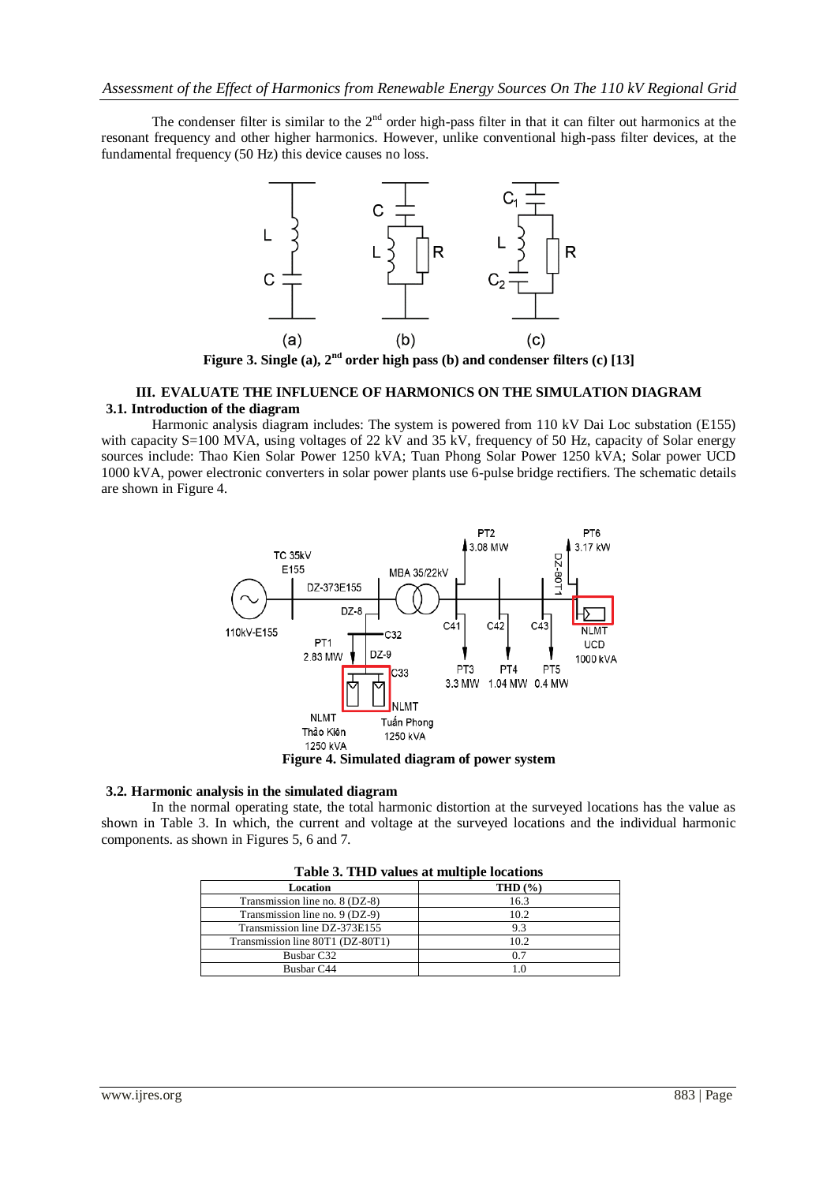The condenser filter is similar to the  $2<sup>nd</sup>$  order high-pass filter in that it can filter out harmonics at the resonant frequency and other higher harmonics. However, unlike conventional high-pass filter devices, at the fundamental frequency (50 Hz) this device causes no loss.



**Figure 3. Single (a), 2nd order high pass (b) and condenser filters (c) [13]**

## **III. EVALUATE THE INFLUENCE OF HARMONICS ON THE SIMULATION DIAGRAM 3.1. Introduction of the diagram**

Harmonic analysis diagram includes: The system is powered from 110 kV Dai Loc substation (E155) with capacity S=100 MVA, using voltages of 22 kV and 35 kV, frequency of 50 Hz, capacity of Solar energy sources include: Thao Kien Solar Power 1250 kVA; Tuan Phong Solar Power 1250 kVA; Solar power UCD 1000 kVA, power electronic converters in solar power plants use 6-pulse bridge rectifiers. The schematic details are shown in Figure 4.



**Figure 4. Simulated diagram of power system**

### **3.2. Harmonic analysis in the simulated diagram**

In the normal operating state, the total harmonic distortion at the surveyed locations has the value as shown in Table 3. In which, the current and voltage at the surveyed locations and the individual harmonic components. as shown in Figures 5, 6 and 7.

| Table 3. THD values at multiple locations |             |  |  |  |  |  |
|-------------------------------------------|-------------|--|--|--|--|--|
| Location                                  | THD $(\% )$ |  |  |  |  |  |
| Transmission line no. 8 (DZ-8)            | 16.3        |  |  |  |  |  |
| Transmission line no. 9 (DZ-9)            | 10.2        |  |  |  |  |  |
| Transmission line DZ-373E155              | 9.3         |  |  |  |  |  |
| Transmission line 80T1 (DZ-80T1)          | 10.2        |  |  |  |  |  |
| Busbar C32                                | 0.7         |  |  |  |  |  |
| Busbar C44                                |             |  |  |  |  |  |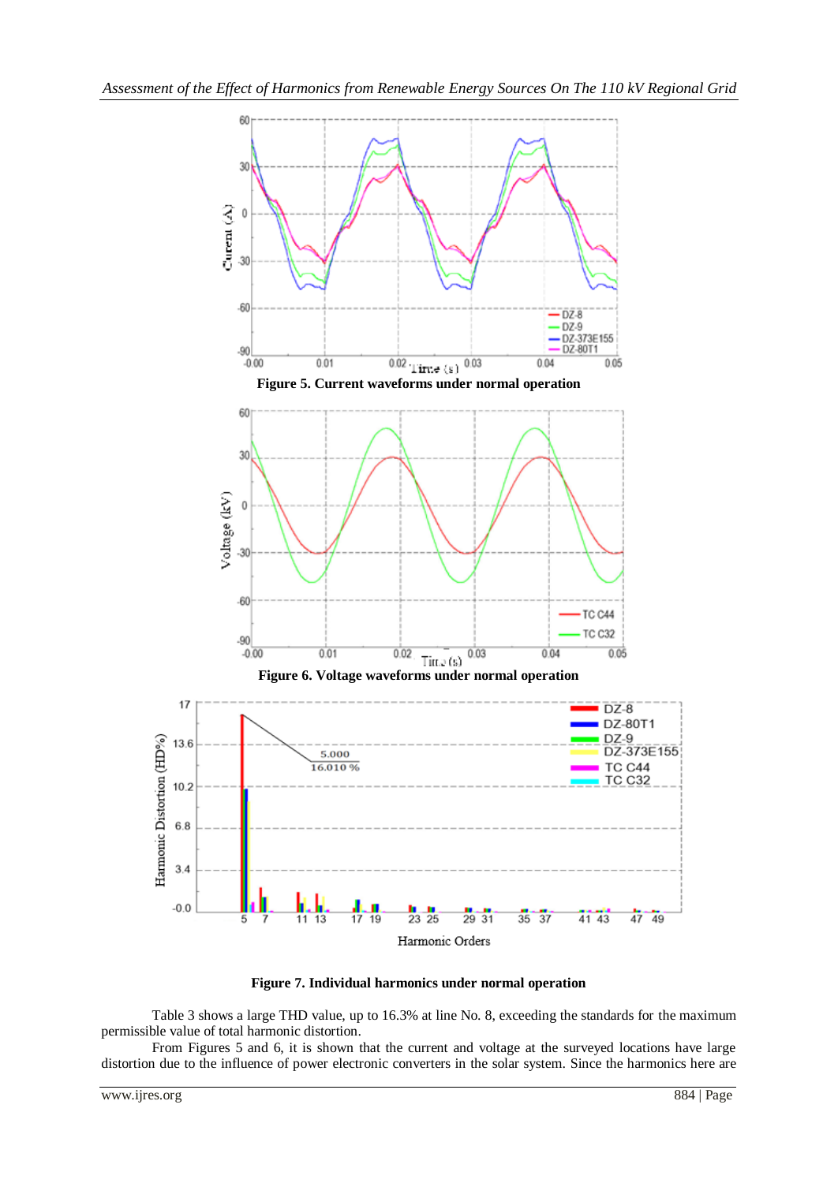

**Figure 7. Individual harmonics under normal operation**

Table 3 shows a large THD value, up to 16.3% at line No. 8, exceeding the standards for the maximum permissible value of total harmonic distortion.

From Figures 5 and 6, it is shown that the current and voltage at the surveyed locations have large distortion due to the influence of power electronic converters in the solar system. Since the harmonics here are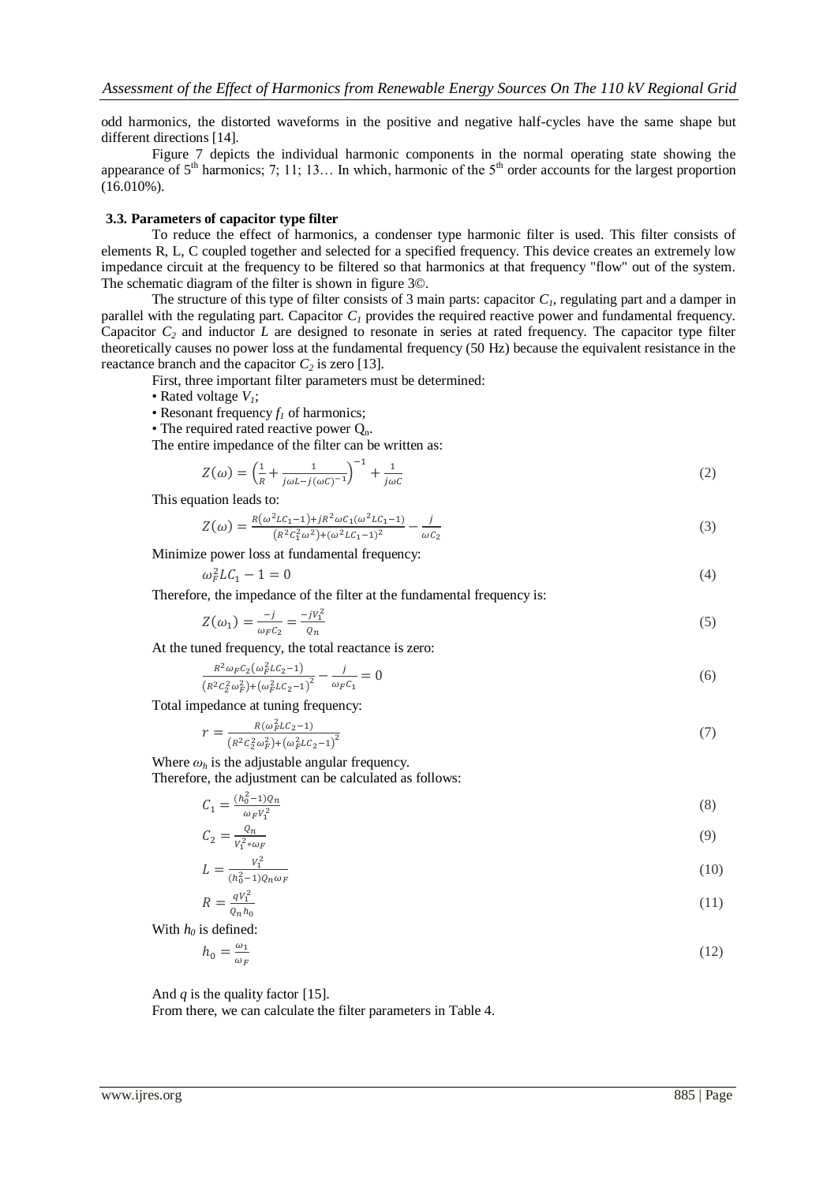odd harmonics, the distorted waveforms in the positive and negative half-cycles have the same shape but different directions [14].

Figure 7 depicts the individual harmonic components in the normal operating state showing the appearance of  $5<sup>th</sup>$  harmonics; 7; 11; 13... In which, harmonic of the  $5<sup>th</sup>$  order accounts for the largest proportion (16.010%).

#### **3.3. Parameters of capacitor type filter**

To reduce the effect of harmonics, a condenser type harmonic filter is used. This filter consists of elements R, L, C coupled together and selected for a specified frequency. This device creates an extremely low impedance circuit at the frequency to be filtered so that harmonics at that frequency "flow" out of the system. The schematic diagram of the filter is shown in figure 3©.

The structure of this type of filter consists of 3 main parts: capacitor  $C<sub>1</sub>$ , regulating part and a damper in parallel with the regulating part. Capacitor  $C_I$  provides the required reactive power and fundamental frequency. Capacitor *C<sup>2</sup>* and inductor *L* are designed to resonate in series at rated frequency. The capacitor type filter theoretically causes no power loss at the fundamental frequency (50 Hz) because the equivalent resistance in the reactance branch and the capacitor  $C_2$  is zero [13].

First, three important filter parameters must be determined:

- Rated voltage *V1*;
- Resonant frequency  $f_I$  of harmonics;
- The required rated reactive power  $Q_n$ .

The entire impedance of the filter can be written as:

$$
Z(\omega) = \left(\frac{1}{R} + \frac{1}{j\omega L - j(\omega C)^{-1}}\right)^{-1} + \frac{1}{j\omega C}
$$
 (2)

This equation leads to:

$$
Z(\omega) = \frac{R(\omega^2 LC_1 - 1) + jR^2 \omega C_1(\omega^2 LC_1 - 1)}{(R^2 C_1^2 \omega^2) + (\omega^2 LC_1 - 1)^2} - \frac{j}{\omega C_2}
$$
\n(3)

Minimize power loss at fundamental frequency:

$$
\omega_F^2 L C_1 - 1 = 0 \tag{4}
$$

Therefore, the impedance of the filter at the fundamental frequency is:

$$
Z(\omega_1) = \frac{-j}{\omega_F c_2} = \frac{-jv_1^2}{\varrho_n} \tag{5}
$$

At the tuned frequency, the total reactance is zero:

$$
\frac{R^2 \omega_F c_2 (\omega_F^2 L c_2 - 1)}{(R^2 c_2^2 \omega_F^2) + (\omega_F^2 L c_2 - 1)^2} - \frac{j}{\omega_F c_1} = 0
$$
\n<sup>(6)</sup>

Total impedance at tuning frequency:

$$
r = \frac{R(\omega_F^2 L C_2 - 1)}{(R^2 C_2^2 \omega_F^2) + (\omega_F^2 L C_2 - 1)^2}
$$
\n(7)

Where  $\omega_h$  is the adjustable angular frequency.

Therefore, the adjustment can be calculated as follows:

$$
C_1 = \frac{(h_0^2 - 1)Q_n}{\omega_F V_1^2}
$$
\n<sup>(8)</sup>

$$
C_2 = \frac{c_n}{V_1^2 * \omega_F} \tag{9}
$$

$$
L = \frac{V_1^2}{(h_0^2 - 1)Q_n\omega_F} \tag{10}
$$

$$
R = \frac{qV_1^2}{Q_n h_0} \tag{11}
$$

With  $h_0$  is defined:

$$
h_0 = \frac{\omega_1}{\omega_F} \tag{12}
$$

And  $q$  is the quality factor [15].

From there, we can calculate the filter parameters in Table 4.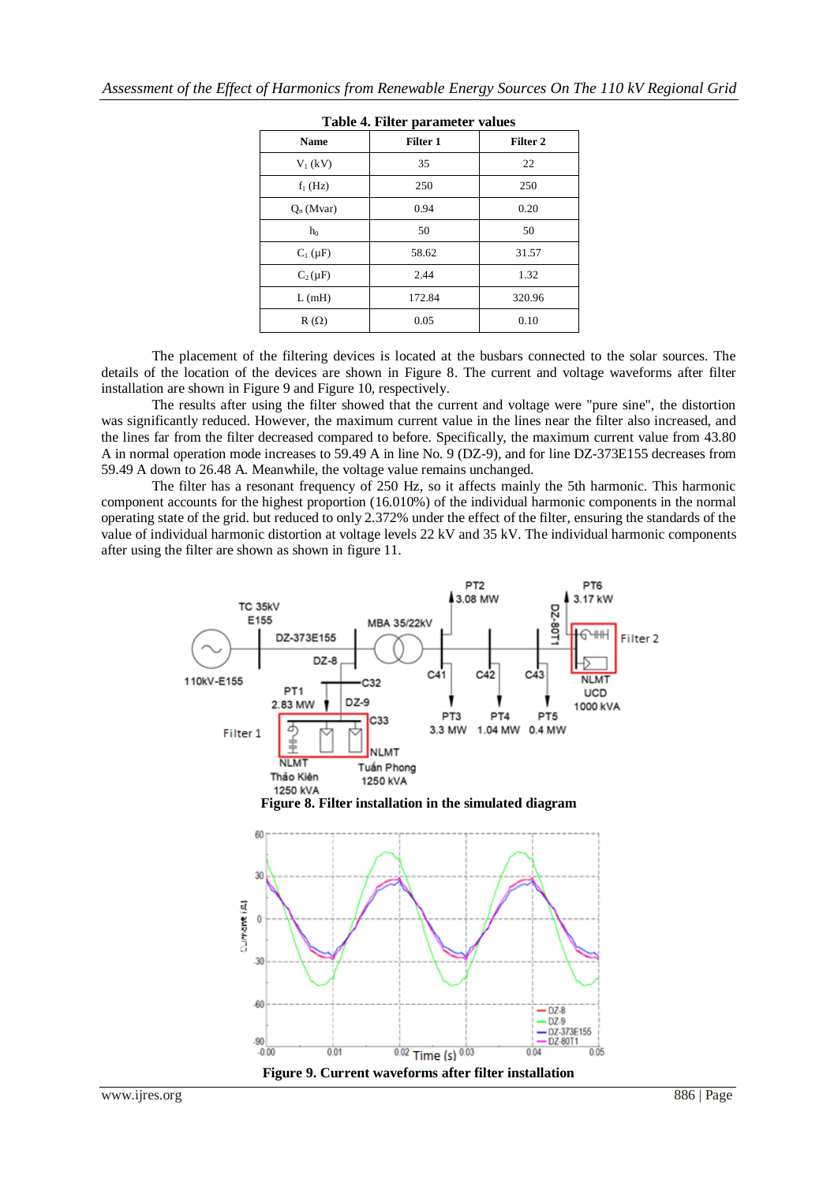| Table 7. Flittle parameter values |                     |  |  |  |  |  |  |
|-----------------------------------|---------------------|--|--|--|--|--|--|
| Filter 1                          | Filter <sub>2</sub> |  |  |  |  |  |  |
| 35                                | 22                  |  |  |  |  |  |  |
| 250                               | 250                 |  |  |  |  |  |  |
| 0.94                              | 0.20                |  |  |  |  |  |  |
| 50                                | 50                  |  |  |  |  |  |  |
| 58.62                             | 31.57               |  |  |  |  |  |  |
| 2.44                              | 1.32                |  |  |  |  |  |  |
| 172.84                            | 320.96              |  |  |  |  |  |  |
| 0.05                              | 0.10                |  |  |  |  |  |  |
|                                   |                     |  |  |  |  |  |  |

|  |  |  | Table 4. Filter parameter values |  |
|--|--|--|----------------------------------|--|
|--|--|--|----------------------------------|--|

The placement of the filtering devices is located at the busbars connected to the solar sources. The details of the location of the devices are shown in Figure 8. The current and voltage waveforms after filter installation are shown in Figure 9 and Figure 10, respectively.

The results after using the filter showed that the current and voltage were "pure sine", the distortion was significantly reduced. However, the maximum current value in the lines near the filter also increased, and the lines far from the filter decreased compared to before. Specifically, the maximum current value from 43.80 A in normal operation mode increases to 59.49 A in line No. 9 (DZ-9), and for line DZ-373E155 decreases from 59.49 A down to 26.48 A. Meanwhile, the voltage value remains unchanged.

The filter has a resonant frequency of 250 Hz, so it affects mainly the 5th harmonic. This harmonic component accounts for the highest proportion (16.010%) of the individual harmonic components in the normal operating state of the grid. but reduced to only 2.372% under the effect of the filter, ensuring the standards of the value of individual harmonic distortion at voltage levels 22 kV and 35 kV. The individual harmonic components after using the filter are shown as shown in figure 11.

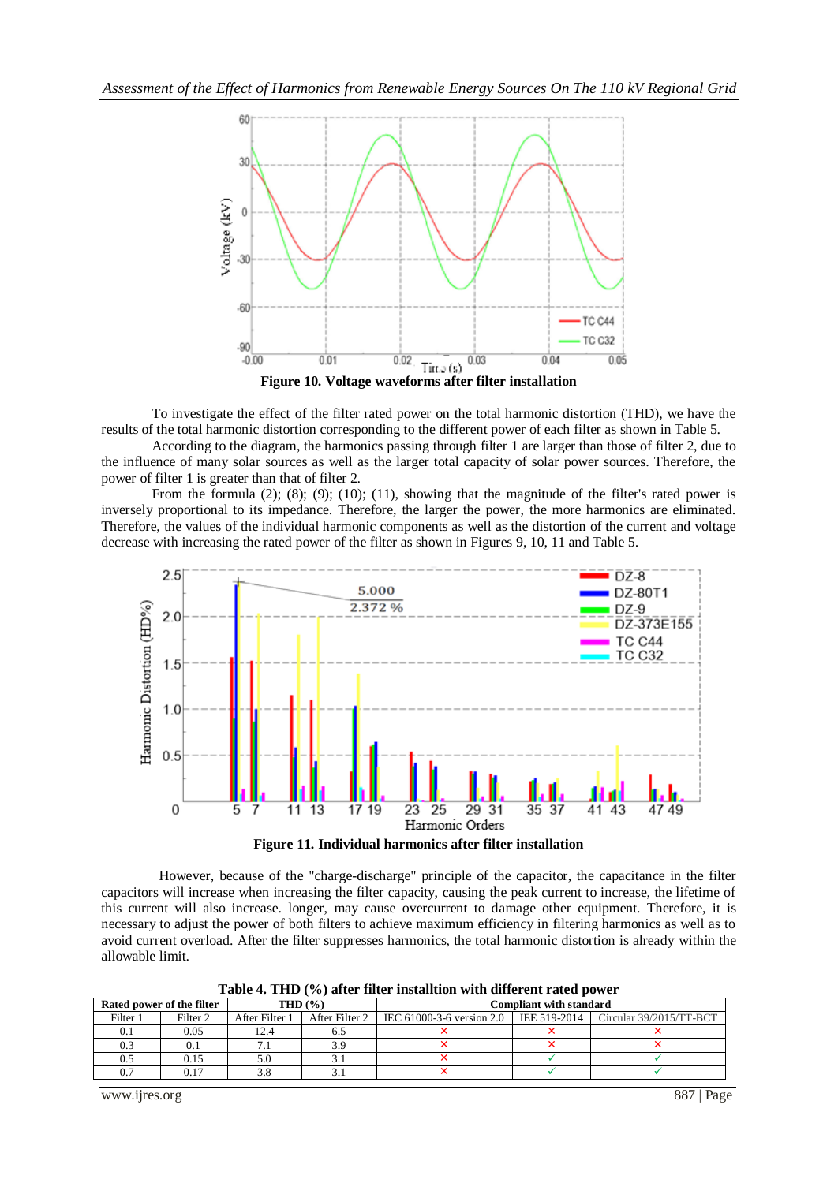

To investigate the effect of the filter rated power on the total harmonic distortion (THD), we have the results of the total harmonic distortion corresponding to the different power of each filter as shown in Table 5.

According to the diagram, the harmonics passing through filter 1 are larger than those of filter 2, due to the influence of many solar sources as well as the larger total capacity of solar power sources. Therefore, the power of filter 1 is greater than that of filter 2.

From the formula (2); (8); (9); (10); (11), showing that the magnitude of the filter's rated power is inversely proportional to its impedance. Therefore, the larger the power, the more harmonics are eliminated. Therefore, the values of the individual harmonic components as well as the distortion of the current and voltage decrease with increasing the rated power of the filter as shown in Figures 9, 10, 11 and Table 5.



**Figure 11. Individual harmonics after filter installation**

 However, because of the "charge-discharge" principle of the capacitor, the capacitance in the filter capacitors will increase when increasing the filter capacity, causing the peak current to increase, the lifetime of this current will also increase. longer, may cause overcurrent to damage other equipment. Therefore, it is necessary to adjust the power of both filters to achieve maximum efficiency in filtering harmonics as well as to avoid current overload. After the filter suppresses harmonics, the total harmonic distortion is already within the allowable limit.

| Rated power of the filter |                     | THD $(% )$     |  | <b>Compliant with standard</b>                                                      |  |  |
|---------------------------|---------------------|----------------|--|-------------------------------------------------------------------------------------|--|--|
| Filter 1                  | Filter <sub>2</sub> | After Filter 1 |  | After Filter 2   IEC 61000-3-6 version 2.0   IEE 519-2014   Circular 39/2015/TT-BCT |  |  |
|                           | 0.05                | 12.4           |  |                                                                                     |  |  |
|                           |                     |                |  |                                                                                     |  |  |
|                           | 0.15                |                |  |                                                                                     |  |  |
|                           | 17                  |                |  |                                                                                     |  |  |

**Table 4. THD (%) after filter installtion with different rated power**